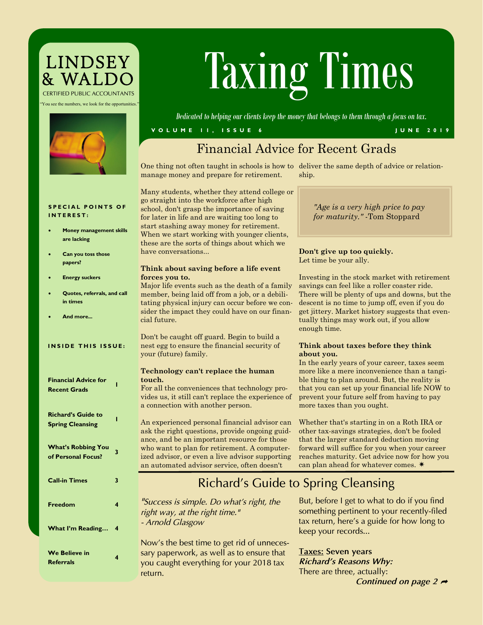# LINDSEY<br>& WALDC *CERTIFIED PUBLIC ACCOUNTANTS*

"You see the numbers, we look for the opportunities."



# Taxing Times

*Dedicated to helping our clients keep the money that belongs to them through a focus on tax.*

#### **V O L U M E 1 1 , I S S U E 6 J U N E 2 0 1 9**

# Financial Advice for Recent Grads

One thing not often taught in schools is how to deliver the same depth of advice or relationmanage money and prepare for retirement. ship.

Many students, whether they attend college or go straight into the workforce after high school, don't grasp the importance of saving for later in life and are waiting too long to start stashing away money for retirement. When we start working with younger clients, these are the sorts of things about which we have conversations...

#### **Think about saving before a life event forces you to.**

Major life events such as the death of a family member, being laid off from a job, or a debilitating physical injury can occur before we consider the impact they could have on our financial future.

Don't be caught off guard. Begin to build a nest egg to ensure the financial security of your (future) family.

#### **Technology can't replace the human touch.**

For all the conveniences that technology provides us, it still can't replace the experience of a connection with another person.

An experienced personal financial advisor can ask the right questions, provide ongoing guidance, and be an important resource for those who want to plan for retirement. A computerized advisor, or even a live advisor supporting an automated advisor service, often doesn't

*"Age is a very high price to pay for maturity."* -Tom Stoppard

#### **Don't give up too quickly.** Let time be your ally.

Investing in the stock market with retirement savings can feel like a roller coaster ride. There will be plenty of ups and downs, but the descent is no time to jump off, even if you do get jittery. Market history suggests that eventually things may work out, if you allow enough time.

#### **Think about taxes before they think about you.**

In the early years of your career, taxes seem more like a mere inconvenience than a tangible thing to plan around. But, the reality is that you can set up your financial life NOW to prevent your future self from having to pay more taxes than you ought.

Whether that's starting in on a Roth IRA or other tax-savings strategies, don't be fooled that the larger standard deduction moving forward will suffice for you when your career reaches maturity. Get advice now for how you can plan ahead for whatever comes.  $*$ 

# *Richard's Guide to Spring Cleansing*

*"Success is simple. Do what's right, the right way, at the right time." - Arnold Glasgow*

*Now's the best time to get rid of unnecessary paperwork, as well as to ensure that you caught everything for your 2018 tax return.*

*But, before I get to what to do if you find something pertinent to your recently-filed tax return, here's a guide for how long to keep your records...*

*Taxes: Seven years Richard's Reasons Why: There are three, actually: Continued on page 2* 

#### **SPECIAL POINTS OF I N T E R E S T :**

- **Money management skills are lacking**
- **Can you toss those papers?**
- **Energy suckers**
- **Quotes, referrals, and call in times**
- **And more...**

#### **INSIDE THIS ISSUE:**

| <b>Financial Advice for</b><br><b>Recent Grads</b>   | ı |
|------------------------------------------------------|---|
| <b>Richard's Guide to</b><br><b>Spring Cleansing</b> |   |
| <b>What's Robbing You</b><br>of Personal Focus?      | 3 |
| <b>Call-in Times</b>                                 | 3 |
| <b>Freedom</b>                                       | 4 |
| <b>What I'm Reading</b>                              | 4 |
| <b>We Believe in</b><br><b>Referrals</b>             | 4 |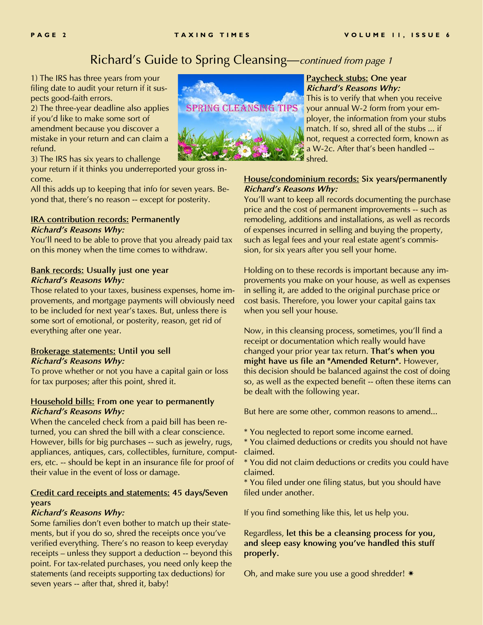## *Richard's Guide to Spring Cleansing—continued from page 1*

*1) The IRS has three years from your filing date to audit your return if it suspects good-faith errors.*

*2) The three-year deadline also applies if you'd like to make some sort of amendment because you discover a mistake in your return and can claim a refund.*

*3) The IRS has six years to challenge* 

*your return if it thinks you underreported your gross income.*

*All this adds up to keeping that info for seven years. Beyond that, there's no reason -- except for posterity.*

#### *IRA contribution records: Permanently Richard's Reasons Why:*

*You'll need to be able to prove that you already paid tax on this money when the time comes to withdraw.*

#### *Bank records: Usually just one year Richard's Reasons Why:*

*Those related to your taxes, business expenses, home improvements, and mortgage payments will obviously need to be included for next year's taxes. But, unless there is some sort of emotional, or posterity, reason, get rid of everything after one year.*

#### *Brokerage statements: Until you sell Richard's Reasons Why:*

*To prove whether or not you have a capital gain or loss for tax purposes; after this point, shred it.*

#### *Household bills: From one year to permanently Richard's Reasons Why:*

*When the canceled check from a paid bill has been returned, you can shred the bill with a clear conscience. However, bills for big purchases -- such as jewelry, rugs, appliances, antiques, cars, collectibles, furniture, computers, etc. -- should be kept in an insurance file for proof of their value in the event of loss or damage.*

#### *Credit card receipts and statements: 45 days/Seven years*

#### *Richard's Reasons Why:*

*Some families don't even bother to match up their statements, but if you do so, shred the receipts once you've verified everything. There's no reason to keep everyday receipts – unless they support a deduction -- beyond this point. For tax-related purchases, you need only keep the statements (and receipts supporting tax deductions) for seven years -- after that, shred it, baby!*



#### *Paycheck stubs: One year Richard's Reasons Why:*

*This is to verify that when you receive your annual W-2 form from your employer, the information from your stubs match. If so, shred all of the stubs ... if not, request a corrected form, known as a W-2c. After that's been handled - shred.*

#### *House/condominium records: Six years/permanently Richard's Reasons Why:*

*You'll want to keep all records documenting the purchase price and the cost of permanent improvements -- such as remodeling, additions and installations, as well as records of expenses incurred in selling and buying the property, such as legal fees and your real estate agent's commission, for six years after you sell your home.*

*Holding on to these records is important because any improvements you make on your house, as well as expenses in selling it, are added to the original purchase price or cost basis. Therefore, you lower your capital gains tax when you sell your house.* 

*Now, in this cleansing process, sometimes, you'll find a receipt or documentation which really would have changed your prior year tax return. That's when you might have us file an "Amended Return". However, this decision should be balanced against the cost of doing so, as well as the expected benefit -- often these items can be dealt with the following year.*

*But here are some other, common reasons to amend...*

*\* You neglected to report some income earned.*

*\* You claimed deductions or credits you should not have claimed.*

*\* You did not claim deductions or credits you could have claimed.*

*\* You filed under one filing status, but you should have filed under another.*

*If you find something like this, let us help you.*

*Regardless, let this be a cleansing process for you, and sleep easy knowing you've handled this stuff properly.*

*Oh, and make sure you use a good shredder!*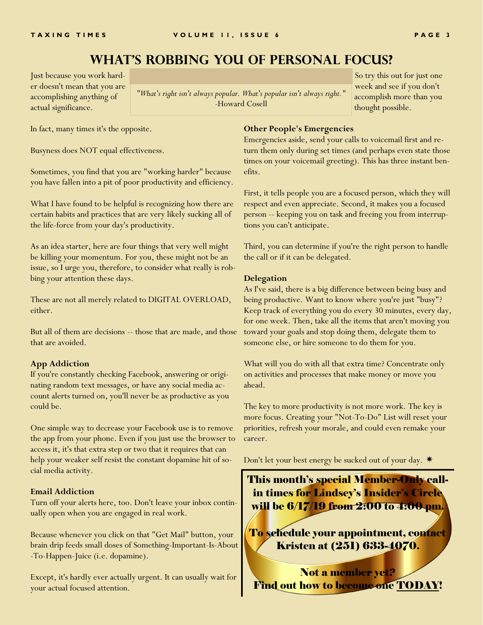## **What's Robbing You of Personal Focus?**

Just because you work harder doesn't mean that you are accomplishing anything of actual significance.

*"What's right isn't always popular. What's popular isn't always right."*  -Howard Cosell

So try this out for just one week and see if you don't accomplish more than you thought possible.

In fact, many times it's the opposite.

Busyness does NOT equal effectiveness.

Sometimes, you find that you are "working harder" because you have fallen into a pit of poor productivity and efficiency.

What I have found to be helpful is recognizing how there are certain habits and practices that are very likely sucking all of the life-force from your day's productivity.

As an idea starter, here are four things that very well might be killing your momentum. For you, these might not be an issue, so I urge you, therefore, to consider what really is robbing your attention these days.

These are not all merely related to DIGITAL OVERLOAD, either.

But all of them are decisions -- those that are made, and those that are avoided.

#### **App Addiction**

If you're constantly checking Facebook, answering or originating random text messages, or have any social media account alerts turned on, you'll never be as productive as you could be.

One simple way to decrease your Facebook use is to remove the app from your phone. Even if you just use the browser to access it, it's that extra step or two that it requires that can help your weaker self resist the constant dopamine hit of social media activity.

#### **Email Addiction**

Turn off your alerts here, too. Don't leave your inbox continually open when you are engaged in real work.

Because whenever you click on that "Get Mail" button, your brain drip feeds small doses of Something-Important-Is-About -To-Happen-Juice (i.e. dopamine).

Except, it's hardly ever actually urgent. It can usually wait for your actual focused attention.

#### **Other People's Emergencies**

Emergencies aside, send your calls to voicemail first and return them only during set times (and perhaps even state those times on your voicemail greeting). This has three instant benefits.

First, it tells people you are a focused person, which they will respect and even appreciate. Second, it makes you a focused person -- keeping you on task and freeing you from interruptions you can't anticipate.

Third, you can determine if you're the right person to handle the call or if it can be delegated.

#### **Delegation**

As I've said, there is a big difference between being busy and being productive. Want to know where you're just "busy"? Keep track of everything you do every 30 minutes, every day, for one week. Then, take all the items that aren't moving you toward your goals and stop doing them, delegate them to someone else, or hire someone to do them for you.

What will you do with all that extra time? Concentrate only on activities and processes that make money or move you ahead.

The key to more productivity is not more work. The key is more focus. Creating your "Not-To-Do" List will reset your priorities, refresh your morale, and could even remake your career.

Don't let your best energy be sucked out of your day.

This month's special Member-Only callin times for Lindsey's Insider's Circle will be 6/17/19 from 2:00 to 4:00 pm.

To schedule your appointment, contact Kristen at (251) 633-4070.

Not a member yet? Find out how to become one **TODAY!**